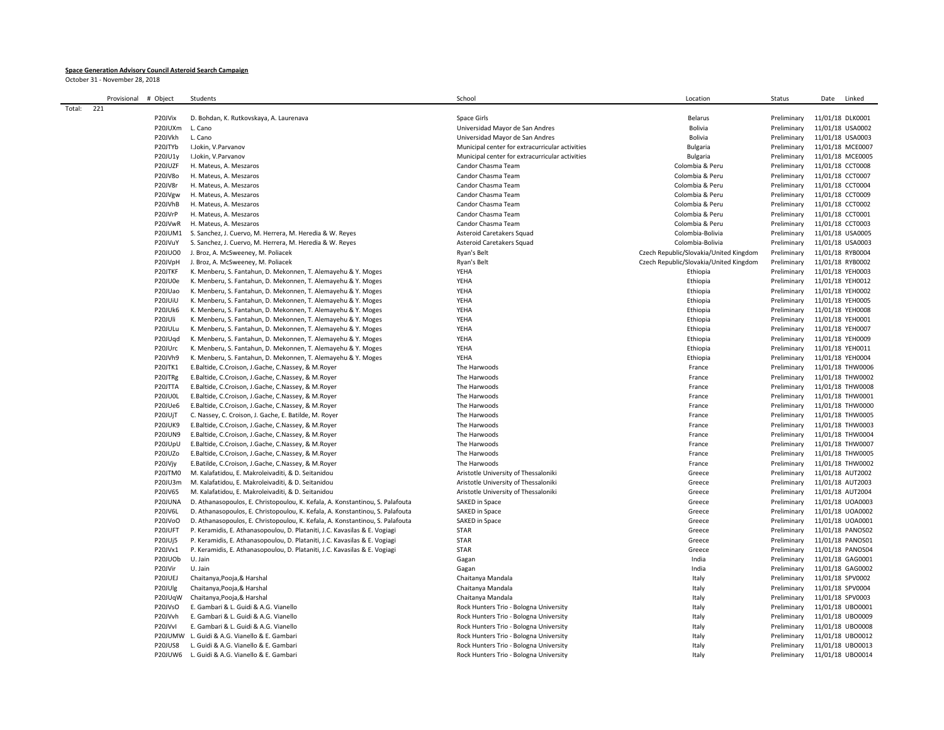## **Space Generation Advisory Council Asteroid Search Campaign**

October 31 - November 28, 2018

|        | Provisional | # Object            | Students                                                                      | School                                          | Location                               | Status      | Date<br>Linked                       |
|--------|-------------|---------------------|-------------------------------------------------------------------------------|-------------------------------------------------|----------------------------------------|-------------|--------------------------------------|
| Total: | 221         |                     |                                                                               |                                                 |                                        |             |                                      |
|        |             | P20JVix             | D. Bohdan, K. Rutkovskaya, A. Laurenava                                       | Space Girls                                     | <b>Belarus</b>                         | Preliminary | 11/01/18 DLK0001                     |
|        |             | P20JUXm             | L. Cano                                                                       | Universidad Mayor de San Andres                 | Bolivia                                | Preliminary | 11/01/18 USA0002                     |
|        |             | P20JVkh             | L. Cano                                                                       | Universidad Mayor de San Andres                 | Bolivia                                | Preliminary | 11/01/18 USA0003                     |
|        |             | P20JTYb             | I.Jokin, V.Parvanov                                                           | Municipal center for extracurricular activities | Bulgaria                               | Preliminary | 11/01/18 MCE0007                     |
|        |             | P20JU1y             | I.Jokin, V.Parvanov                                                           | Municipal center for extracurricular activities | Bulgaria                               | Preliminary | 11/01/18 MCE0005                     |
|        |             | P20JUZF             | H. Mateus, A. Meszaros                                                        | Candor Chasma Team                              | Colombia & Peru                        | Preliminary | 11/01/18 CCT0008                     |
|        |             | P20JV8o             | H. Mateus, A. Meszaros                                                        | Candor Chasma Team                              | Colombia & Peru                        | Preliminary | 11/01/18 CCT0007                     |
|        |             | P20JV8r             | H. Mateus, A. Meszaros                                                        | Candor Chasma Team                              | Colombia & Peru                        | Preliminary | 11/01/18 CCT0004                     |
|        |             |                     |                                                                               | Candor Chasma Team                              | Colombia & Peru                        | Preliminary | 11/01/18 CCT0009                     |
|        |             | P20JVgw<br>P20JVhB  | H. Mateus, A. Meszaros                                                        | Candor Chasma Team                              | Colombia & Peru                        | Preliminary | 11/01/18 CCT0002                     |
|        |             |                     | H. Mateus, A. Meszaros                                                        |                                                 |                                        |             |                                      |
|        |             | P20JVrP             | H. Mateus, A. Meszaros                                                        | Candor Chasma Team                              | Colombia & Peru                        | Preliminary | 11/01/18 CCT0001                     |
|        |             | P20JVwR             | H. Mateus, A. Meszaros                                                        | Candor Chasma Team                              | Colombia & Peru                        | Preliminary | 11/01/18 CCT0003                     |
|        |             | P20JUM1             | S. Sanchez, J. Cuervo, M. Herrera, M. Heredia & W. Reyes                      | Asteroid Caretakers Squad                       | Colombia-Bolivia                       | Preliminary | 11/01/18 USA0005                     |
|        |             | P20JVuY             | S. Sanchez, J. Cuervo, M. Herrera, M. Heredia & W. Reyes                      | Asteroid Caretakers Squad                       | Colombia-Bolivia                       | Preliminary | 11/01/18 USA0003                     |
|        |             | <b>P20JUO0</b>      | J. Broz, A. McSweeney, M. Poliacek                                            | Ryan's Belt                                     | Czech Republic/Slovakia/United Kingdom | Preliminary | 11/01/18 RYB0004                     |
|        |             | P20JVpH             | J. Broz, A. McSweeney, M. Poliacek                                            | Ryan's Belt                                     | Czech Republic/Slovakia/United Kingdom | Preliminary | 11/01/18 RYB0002                     |
|        |             | P20JTKF             | K. Menberu, S. Fantahun, D. Mekonnen, T. Alemayehu & Y. Moges                 | YEHA                                            | Ethiopia                               | Preliminary | 11/01/18 YEH0003                     |
|        |             | P20JU0e             | K. Menberu, S. Fantahun, D. Mekonnen, T. Alemayehu & Y. Moges                 | YEHA                                            | Ethiopia                               | Preliminary | 11/01/18 YEH0012                     |
|        |             | P20JUao             | K. Menberu, S. Fantahun, D. Mekonnen, T. Alemayehu & Y. Moges                 | YEHA                                            | Ethiopia                               | Preliminary | 11/01/18 YEH0002                     |
|        |             | P20JUIU             | K. Menberu, S. Fantahun, D. Mekonnen, T. Alemayehu & Y. Moges                 | YEHA                                            | Ethiopia                               | Preliminary | 11/01/18 YEH0005                     |
|        |             | P20JUk6             | K. Menberu, S. Fantahun, D. Mekonnen, T. Alemayehu & Y. Moges                 | YEHA                                            | Ethiopia                               | Preliminary | 11/01/18 YEH0008                     |
|        |             | P <sub>20JUli</sub> | K. Menberu, S. Fantahun, D. Mekonnen, T. Alemayehu & Y. Moges                 | YEHA                                            | Ethiopia                               | Preliminary | 11/01/18 YEH0001                     |
|        |             | P20JULu             | K. Menberu, S. Fantahun, D. Mekonnen, T. Alemayehu & Y. Moges                 | YEHA                                            | Ethiopia                               | Preliminary | 11/01/18 YEH0007                     |
|        |             | P20JUqd             | K. Menberu, S. Fantahun, D. Mekonnen, T. Alemayehu & Y. Moges                 | YEHA                                            | Ethiopia                               | Preliminary | 11/01/18 YEH0009                     |
|        |             | P20JUrc             | K. Menberu, S. Fantahun, D. Mekonnen, T. Alemayehu & Y. Moges                 | YEHA                                            | Ethiopia                               | Preliminary | 11/01/18 YEH0011                     |
|        |             | P20JVh9             | K. Menberu, S. Fantahun, D. Mekonnen, T. Alemayehu & Y. Moges                 | YEHA                                            | Ethiopia                               | Preliminary | 11/01/18 YEH0004                     |
|        |             | P20JTK1             | E.Baltide, C.Croison, J.Gache, C.Nassey, & M.Royer                            | The Harwoods                                    | France                                 | Preliminary | 11/01/18 THW0006                     |
|        |             | P20JTRg             | E.Baltide, C.Croison, J.Gache, C.Nassey, & M.Royer                            | The Harwoods                                    | France                                 | Preliminary | 11/01/18 THW0002                     |
|        |             | P20JTTA             | E.Baltide, C.Croison, J.Gache, C.Nassey, & M.Royer                            | The Harwoods                                    | France                                 | Preliminary | 11/01/18 THW0008                     |
|        |             | P20JU0L             | E.Baltide, C.Croison, J.Gache, C.Nassey, & M.Royer                            | The Harwoods                                    | France                                 | Preliminary | 11/01/18 THW0001                     |
|        |             | P20JUe6             | E.Baltide, C.Croison, J.Gache, C.Nassey, & M.Royer                            | The Harwoods                                    | France                                 | Preliminary | 11/01/18 THW0000                     |
|        |             | P20JUjT             | C. Nassey, C. Croison, J. Gache, E. Batilde, M. Royer                         | The Harwoods                                    | France                                 | Preliminary | 11/01/18 THW0005                     |
|        |             | <b>P20JUK9</b>      | E.Baltide, C.Croison, J.Gache, C.Nassey, & M.Royer                            | The Harwoods                                    | France                                 | Preliminary | 11/01/18 THW0003                     |
|        |             | <b>P20JUN9</b>      | E.Baltide, C.Croison, J.Gache, C.Nassey, & M.Royer                            | The Harwoods                                    | France                                 | Preliminary | 11/01/18 THW0004                     |
|        |             | P20JUpU             | E.Baltide, C.Croison, J.Gache, C.Nassey, & M.Royer                            | The Harwoods                                    | France                                 | Preliminary | 11/01/18 THW0007                     |
|        |             | P20JUZo             | E.Baltide, C.Croison, J.Gache, C.Nassey, & M.Royer                            | The Harwoods                                    | France                                 | Preliminary | 11/01/18 THW0005                     |
|        |             | P20JVjy             | E.Batilde, C.Croison, J.Gache, C.Nassey, & M.Royer                            | The Harwoods                                    | France                                 | Preliminary | 11/01/18 THW0002                     |
|        |             | P20JTM0             | M. Kalafatidou, E. Makroleivaditi, & D. Seitanidou                            | Aristotle University of Thessaloniki            | Greece                                 | Preliminary | 11/01/18 AUT2002                     |
|        |             | P20JU3m             | M. Kalafatidou, E. Makroleivaditi, & D. Seitanidou                            | Aristotle University of Thessaloniki            | Greece                                 | Preliminary | 11/01/18 AUT2003                     |
|        |             | P20JV65             | M. Kalafatidou, E. Makroleivaditi, & D. Seitanidou                            | Aristotle University of Thessaloniki            | Greece                                 | Preliminary | 11/01/18 AUT2004                     |
|        |             | P20JUNA             |                                                                               | SAKED in Space                                  |                                        | Preliminary |                                      |
|        |             | P20JV6L             | D. Athanasopoulos, E. Christopoulou, K. Kefala, A. Konstantinou, S. Palafouta | SAKED in Space                                  | Greece<br>Greece                       | Preliminary | 11/01/18 UOA0003<br>11/01/18 UOA0002 |
|        |             |                     | D. Athanasopoulos, E. Christopoulou, K. Kefala, A. Konstantinou, S. Palafouta |                                                 |                                        |             |                                      |
|        |             | P20JVoO             | D. Athanasopoulos, E. Christopoulou, K. Kefala, A. Konstantinou, S. Palafouta | SAKED in Space                                  | Greece                                 | Preliminary | 11/01/18 UOA0001                     |
|        |             | P20JUFT             | P. Keramidis, E. Athanasopoulou, D. Plataniti, J.C. Kavasilas & E. Vogiagi    | STAR                                            | Greece                                 | Preliminary | 11/01/18 PANOS02                     |
|        |             | <b>P20JUj5</b>      | P. Keramidis, E. Athanasopoulou, D. Plataniti, J.C. Kavasilas & E. Vogiagi    | STAR                                            | Greece                                 | Preliminary | 11/01/18 PANOS01                     |
|        |             | P20JVx1             | P. Keramidis, E. Athanasopoulou, D. Plataniti, J.C. Kavasilas & E. Vogiagi    | STAR                                            | Greece                                 | Preliminary | 11/01/18 PANOS04                     |
|        |             | P20JUOb             | U. Jain                                                                       | Gagan                                           | India                                  | Preliminary | 11/01/18 GAG0001                     |
|        |             | P20JVir             | U. Jain                                                                       | Gagan                                           | India                                  | Preliminary | 11/01/18 GAG0002                     |
|        |             | P20JUEJ             | Chaitanya, Pooja, & Harshal                                                   | Chaitanya Mandala                               | Italy                                  | Preliminary | 11/01/18 SPV0002                     |
|        |             | P20JUlg             | Chaitanya, Pooja, & Harshal                                                   | Chaitanya Mandala                               | Italy                                  | Preliminary | 11/01/18 SPV0004                     |
|        |             | P20JUqW             | Chaitanya, Pooja, & Harshal                                                   | Chaitanya Mandala                               | Italy                                  | Preliminary | 11/01/18 SPV0003                     |
|        |             | P20JVsO             | E. Gambari & L. Guidi & A.G. Vianello                                         | Rock Hunters Trio - Bologna University          | Italy                                  | Preliminary | 11/01/18 UBO0001                     |
|        |             | P20JVvh             | E. Gambari & L. Guidi & A.G. Vianello                                         | Rock Hunters Trio - Bologna University          | Italy                                  | Preliminary | 11/01/18 UBO0009                     |
|        |             | P20JVvI             | E. Gambari & L. Guidi & A.G. Vianello                                         | Rock Hunters Trio - Bologna University          | Italy                                  | Preliminary | 11/01/18 UBO0008                     |
|        |             | P20JUMW             | L. Guidi & A.G. Vianello & E. Gambari                                         | Rock Hunters Trio - Bologna University          | Italy                                  | Preliminary | 11/01/18 UBO0012                     |
|        |             | <b>P20JUS8</b>      | L. Guidi & A.G. Vianello & E. Gambari                                         | Rock Hunters Trio - Bologna University          | Italy                                  | Preliminary | 11/01/18 UBO0013                     |
|        |             |                     | P20JUW6 L. Guidi & A.G. Vianello & E. Gambari                                 | Rock Hunters Trio - Bologna University          | Italy                                  | Preliminary | 11/01/18 UBO0014                     |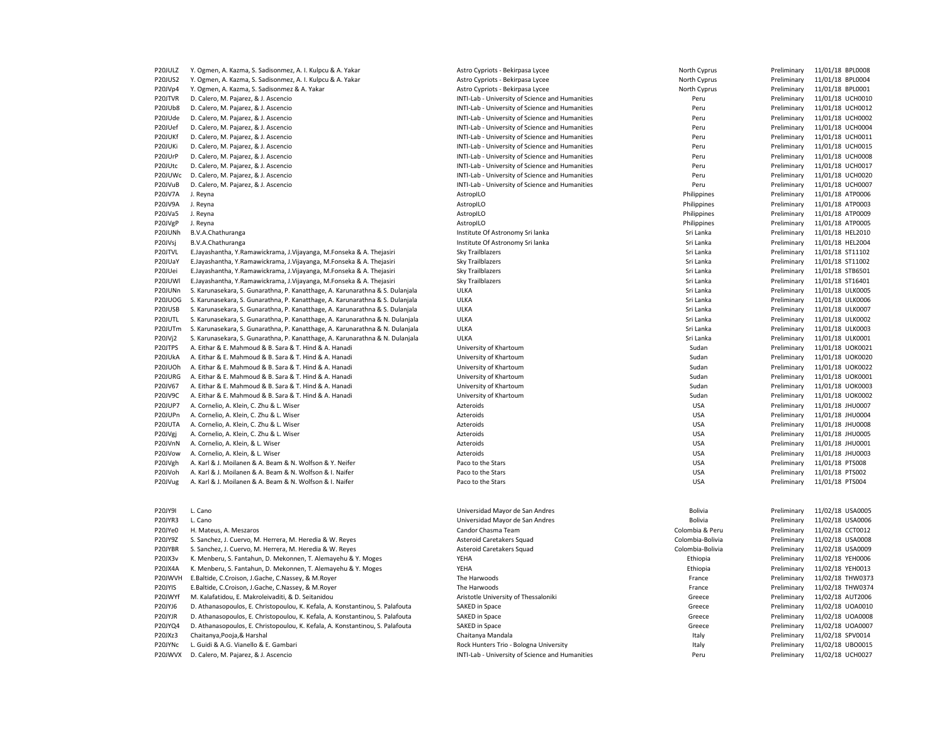| P20JULZ        | Y. Ogmen, A. Kazma, S. Sadisonmez, A. I. Kulpcu & A. Yakar                    | Astro Cypriots - Bekirpasa Lycee                | North Cyprus           | Preliminary | 11/01/18 BPL0008                     |
|----------------|-------------------------------------------------------------------------------|-------------------------------------------------|------------------------|-------------|--------------------------------------|
| <b>P20JUS2</b> | Y. Ogmen, A. Kazma, S. Sadisonmez, A. I. Kulpcu & A. Yakar                    | Astro Cypriots - Bekirpasa Lycee                | North Cyprus           | Preliminary | 11/01/18 BPL0004                     |
| P20JVp4        | Y. Ogmen, A. Kazma, S. Sadisonmez & A. Yakar                                  | Astro Cypriots - Bekirpasa Lycee                | North Cyprus           | Preliminary | 11/01/18 BPL0001                     |
| P20JTVR        | D. Calero, M. Pajarez, & J. Ascencio                                          | INTI-Lab - University of Science and Humanities | Peru                   | Preliminary | 11/01/18 UCH0010                     |
| P20JUb8        | D. Calero, M. Pajarez, & J. Ascencio                                          | INTI-Lab - University of Science and Humanities | Peru                   | Preliminary | 11/01/18 UCH0012                     |
| P20JUde        | D. Calero, M. Pajarez, & J. Ascencio                                          | INTI-Lab - University of Science and Humanities | Peru                   | Preliminary | 11/01/18 UCH0002                     |
| P20JUef        | D. Calero, M. Pajarez, & J. Ascencio                                          | INTI-Lab - University of Science and Humanities | Peru                   | Preliminary | 11/01/18 UCH0004                     |
| P20JUKf        | D. Calero, M. Pajarez, & J. Ascencio                                          | INTI-Lab - University of Science and Humanities | Peru                   | Preliminary | 11/01/18 UCH0011                     |
| P20JUKi        | D. Calero, M. Pajarez, & J. Ascencio                                          | INTI-Lab - University of Science and Humanities | Peru                   | Preliminary | 11/01/18 UCH0015                     |
| P20JUrP        | D. Calero, M. Pajarez, & J. Ascencio                                          | INTI-Lab - University of Science and Humanities | Peru                   | Preliminary | 11/01/18 UCH0008                     |
| P20JUtc        | D. Calero, M. Pajarez, & J. Ascencio                                          | INTI-Lab - University of Science and Humanities | Peru                   | Preliminary | 11/01/18 UCH0017                     |
| P20JUWc        | D. Calero, M. Pajarez, & J. Ascencio                                          | INTI-Lab - University of Science and Humanities | Peru                   | Preliminary | 11/01/18 UCH0020                     |
| P20JVuB        | D. Calero, M. Pajarez, & J. Ascencio                                          | INTI-Lab - University of Science and Humanities | Peru                   | Preliminary | 11/01/18 UCH0007                     |
| P20JV7A        | J. Reyna                                                                      | AstropILO                                       | Philippines            | Preliminary | 11/01/18 ATP0006                     |
| P20JV9A        | J. Reyna                                                                      | AstropILO                                       | Philippines            | Preliminary | 11/01/18 ATP0003                     |
| P20JVa5        | J. Reyna                                                                      | AstropILO                                       | Philippines            | Preliminary | 11/01/18 ATP0009                     |
| P20JVgP        | J. Reyna                                                                      | AstropILO                                       | Philippines            | Preliminary | 11/01/18 ATP0005                     |
| P20JUNh        | B.V.A.Chathuranga                                                             | Institute Of Astronomy Sri lanka                | Sri Lanka              | Preliminary | 11/01/18 HEL2010                     |
| P20JVsj        | B.V.A.Chathuranga                                                             | Institute Of Astronomy Sri lanka                | Sri Lanka              | Preliminary | 11/01/18 HEL2004                     |
| P20JTVL        | E.Jayashantha, Y.Ramawickrama, J.Vijayanga, M.Fonseka & A. Thejasiri          | Sky Trailblazers                                | Sri Lanka              | Preliminary | 11/01/18 ST11102                     |
| P20JUaY        | E.Jayashantha, Y.Ramawickrama, J.Vijayanga, M.Fonseka & A. Thejasiri          | Sky Trailblazers                                | Sri Lanka              | Preliminary | 11/01/18 ST11002                     |
| P20JUei        | E.Jayashantha, Y.Ramawickrama, J.Vijayanga, M.Fonseka & A. Thejasiri          | Sky Trailblazers                                | Sri Lanka              | Preliminary | 11/01/18 STB6501                     |
| P20JUWI        | E.Jayashantha, Y.Ramawickrama, J.Vijayanga, M.Fonseka & A. Thejasiri          | Sky Trailblazers                                | Sri Lanka              | Preliminary | 11/01/18 ST16401                     |
| P20JUNn        | S. Karunasekara, S. Gunarathna, P. Kanatthage, A. Karunarathna & S. Dulanjala | <b>ULKA</b>                                     | Sri Lanka              | Preliminary | 11/01/18 ULK0005                     |
| P20JUOG        | S. Karunasekara, S. Gunarathna, P. Kanatthage, A. Karunarathna & S. Dulanjala | <b>ULKA</b>                                     | Sri Lanka              | Preliminary | 11/01/18 ULK0006                     |
| P20JUSB        |                                                                               | <b>ULKA</b>                                     | Sri Lanka              |             |                                      |
| P20JUTL        | S. Karunasekara, S. Gunarathna, P. Kanatthage, A. Karunarathna & S. Dulanjala | <b>ULKA</b>                                     | Sri Lanka              | Preliminary | 11/01/18 ULK0007<br>11/01/18 ULK0002 |
|                | S. Karunasekara, S. Gunarathna, P. Kanatthage, A. Karunarathna & N. Dulanjala | <b>ULKA</b>                                     |                        | Preliminary |                                      |
| P20JUTm        | S. Karunasekara, S. Gunarathna, P. Kanatthage, A. Karunarathna & N. Dulanjala | <b>ULKA</b>                                     | Sri Lanka<br>Sri Lanka | Preliminary | 11/01/18 ULK0003                     |
| P20JVj2        | S. Karunasekara, S. Gunarathna, P. Kanatthage, A. Karunarathna & N. Dulanjala |                                                 |                        | Preliminary | 11/01/18 ULK0001                     |
| P20JTPS        | A. Eithar & E. Mahmoud & B. Sara & T. Hind & A. Hanadi                        | University of Khartoum                          | Sudan                  | Preliminary | 11/01/18 UOK0021                     |
| P20JUkA        | A. Eithar & E. Mahmoud & B. Sara & T. Hind & A. Hanadi                        | University of Khartoum                          | Sudan                  | Preliminary | 11/01/18 UOK0020                     |
| P20JUOh        | A. Eithar & E. Mahmoud & B. Sara & T. Hind & A. Hanadi                        | University of Khartoum                          | Sudan                  | Preliminary | 11/01/18 UOK0022                     |
| P20JURG        | A. Eithar & E. Mahmoud & B. Sara & T. Hind & A. Hanadi                        | University of Khartoum                          | Sudan                  | Preliminary | 11/01/18 UOK0001                     |
| P20JV67        | A. Eithar & E. Mahmoud & B. Sara & T. Hind & A. Hanadi                        | University of Khartoum                          | Sudan                  | Preliminary | 11/01/18 UOK0003                     |
| P20JV9C        | A. Eithar & E. Mahmoud & B. Sara & T. Hind & A. Hanadi                        | University of Khartoum                          | Sudan                  | Preliminary | 11/01/18 UOK0002                     |
| P20JUP7        | A. Cornelio, A. Klein, C. Zhu & L. Wiser                                      | Azteroids                                       | <b>USA</b>             | Preliminary | 11/01/18 JHU0007                     |
| P20JUPn        | A. Cornelio, A. Klein, C. Zhu & L. Wiser                                      | Azteroids                                       | <b>USA</b>             | Preliminary | 11/01/18 JHU0004                     |
| P20JUTA        | A. Cornelio, A. Klein, C. Zhu & L. Wiser                                      | Azteroids                                       | <b>USA</b>             | Preliminary | 11/01/18 JHU0008                     |
| P20JVgj        | A. Cornelio, A. Klein, C. Zhu & L. Wiser                                      | Azteroids                                       | <b>USA</b>             | Preliminary | 11/01/18 JHU0005                     |
| P20JVnN        | A. Cornelio, A. Klein, & L. Wiser                                             | Azteroids                                       | <b>USA</b>             | Preliminary | 11/01/18 JHU0001                     |
| P20JVow        | A. Cornelio, A. Klein, & L. Wiser                                             | Azteroids                                       | <b>USA</b>             | Preliminary | 11/01/18 JHU0003                     |
| P20JVgh        | A. Karl & J. Moilanen & A. Beam & N. Wolfson & Y. Neifer                      | Paco to the Stars                               | <b>USA</b>             | Preliminary | 11/01/18 PTS008                      |
| P20JVoh        | A. Karl & J. Moilanen & A. Beam & N. Wolfson & I. Naifer                      | Paco to the Stars                               | <b>USA</b>             | Preliminary | 11/01/18 PTS002                      |
| P20JVug        | A. Karl & J. Moilanen & A. Beam & N. Wolfson & I. Naifer                      | Paco to the Stars                               | <b>USA</b>             | Preliminary | 11/01/18 PTS004                      |
|                |                                                                               |                                                 |                        |             |                                      |
|                |                                                                               |                                                 |                        |             |                                      |
| P20JY9I        | L. Cano                                                                       | Universidad Mayor de San Andres                 | Bolivia                | Preliminary | 11/02/18 USA0005                     |
| P20JYR3        | L. Cano                                                                       | Universidad Mayor de San Andres                 | Bolivia                | Preliminary | 11/02/18 USA0006                     |
| P20JYe0        | H. Mateus, A. Meszaros                                                        | Candor Chasma Team                              | Colombia & Peru        | Preliminary | 11/02/18 CCT0012                     |
| P20JY9Z        | S. Sanchez, J. Cuervo, M. Herrera, M. Heredia & W. Reyes                      | Asteroid Caretakers Squad                       | Colombia-Bolivia       | Preliminary | 11/02/18 USA0008                     |
| P20JYBR        | S. Sanchez, J. Cuervo, M. Herrera, M. Heredia & W. Reyes                      | Asteroid Caretakers Squad                       | Colombia-Bolivia       | Preliminary | 11/02/18 USA0009                     |
| P20JX3v        | K. Menberu, S. Fantahun, D. Mekonnen, T. Alemayehu & Y. Moges                 | YEHA                                            | Ethiopia               | Preliminary | 11/02/18 YEH0006                     |
| P20JX4A        | K. Menberu, S. Fantahun, D. Mekonnen, T. Alemayehu & Y. Moges                 | YEHA                                            | Ethiopia               | Preliminary | 11/02/18 YEH0013                     |
| P20JWVH        | E.Baltide, C.Croison, J.Gache, C.Nassey, & M.Royer                            | The Harwoods                                    | France                 | Preliminary | 11/02/18 THW0373                     |
| P20JYIS        | E.Baltide, C.Croison, J.Gache, C.Nassey, & M.Royer                            | The Harwoods                                    | France                 | Preliminary | 11/02/18 THW0374                     |
| P20JWYf        | M. Kalafatidou, E. Makroleivaditi, & D. Seitanidou                            | Aristotle University of Thessaloniki            | Greece                 | Preliminary | 11/02/18 AUT2006                     |
| P20JYJ6        | D. Athanasopoulos, E. Christopoulou, K. Kefala, A. Konstantinou, S. Palafouta | SAKED in Space                                  | Greece                 | Preliminary | 11/02/18 UOA0010                     |
| P20JYJR        | D. Athanasopoulos, E. Christopoulou, K. Kefala, A. Konstantinou, S. Palafouta | SAKED in Space                                  | Greece                 | Preliminary | 11/02/18 UOA0008                     |
| P20JYQ4        | D. Athanasopoulos, E. Christopoulou, K. Kefala, A. Konstantinou, S. Palafouta | SAKED in Space                                  | Greece                 | Preliminary | 11/02/18 UOA0007                     |
| P20JXz3        | Chaitanya, Pooja, & Harshal                                                   | Chaitanya Mandala                               | Italy                  | Preliminary | 11/02/18 SPV0014                     |
| P20JYNc        | L. Guidi & A.G. Vianello & E. Gambari                                         | Rock Hunters Trio - Bologna University          | Italy                  | Preliminary | 11/02/18 UBO0015                     |
| P20JWVX        | D. Calero, M. Pajarez, & J. Ascencio                                          | INTI-Lab - University of Science and Humanities | Peru                   | Preliminary | 11/02/18 UCH0027                     |
|                |                                                                               |                                                 |                        |             |                                      |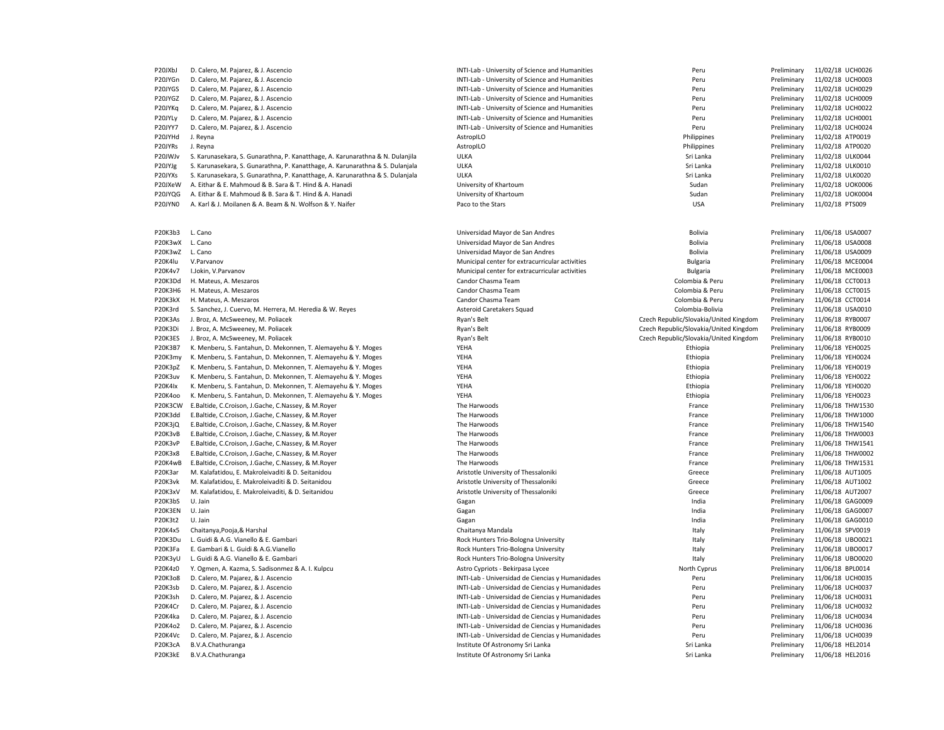| P20JXbJ | D. Calero, M. Pajarez, & J. Ascencio                                          | INTI-Lab - University of Science and Humanities  | Peru                                   | Preliminary | 11/02/18 UCH0026 |
|---------|-------------------------------------------------------------------------------|--------------------------------------------------|----------------------------------------|-------------|------------------|
| P20JYGn | D. Calero, M. Pajarez, & J. Ascencio                                          | INTI-Lab - University of Science and Humanities  | Peru                                   | Preliminary | 11/02/18 UCH0003 |
| P20JYGS | D. Calero, M. Pajarez, & J. Ascencio                                          | INTI-Lab - University of Science and Humanities  | Peru                                   | Preliminary | 11/02/18 UCH0029 |
| P20JYGZ | D. Calero, M. Pajarez, & J. Ascencio                                          | INTI-Lab - University of Science and Humanities  | Peru                                   | Preliminary | 11/02/18 UCH0009 |
| P20JYKg | D. Calero, M. Pajarez, & J. Ascencio                                          | INTI-Lab - University of Science and Humanities  | Peru                                   | Preliminary | 11/02/18 UCH0022 |
| P20JYLy | D. Calero, M. Pajarez, & J. Ascencio                                          | INTI-Lab - University of Science and Humanities  | Peru                                   | Preliminary | 11/02/18 UCH0001 |
| P20JYY7 | D. Calero, M. Pajarez, & J. Ascencio                                          | INTI-Lab - University of Science and Humanities  | Peru                                   | Preliminary | 11/02/18 UCH0024 |
| P20JYHd | J. Reyna                                                                      | AstropILO                                        | Philippines                            | Preliminary | 11/02/18 ATP0019 |
| P20JYRs | J. Reyna                                                                      | AstropILO                                        | Philippines                            | Preliminary | 11/02/18 ATP0020 |
| P20JWJv | S. Karunasekara, S. Gunarathna, P. Kanatthage, A. Karunarathna & N. Dulanjila | <b>ULKA</b>                                      | Sri Lanka                              | Preliminary | 11/02/18 ULK0044 |
| P20JYJg | S. Karunasekara, S. Gunarathna, P. Kanatthage, A. Karunarathna & S. Dulanjala | ULKA                                             | Sri Lanka                              | Preliminary | 11/02/18 ULK0010 |
| P20JYXs | S. Karunasekara, S. Gunarathna, P. Kanatthage, A. Karunarathna & S. Dulanjala | <b>ULKA</b>                                      | Sri Lanka                              | Preliminary | 11/02/18 ULK0020 |
| P20JXeW | A. Eithar & E. Mahmoud & B. Sara & T. Hind & A. Hanadi                        | University of Khartoum                           | Sudan                                  | Preliminary | 11/02/18 UOK0006 |
| P20JYQG | A. Eithar & E. Mahmoud & B. Sara & T. Hind & A. Hanadi                        | University of Khartoum                           | Sudan                                  | Preliminary | 11/02/18 UOK0004 |
| P20JYN0 | A. Karl & J. Moilanen & A. Beam & N. Wolfson & Y. Naifer                      | Paco to the Stars                                | <b>USA</b>                             | Preliminary | 11/02/18 PTS009  |
|         |                                                                               |                                                  |                                        |             |                  |
| P20K3b3 | L. Cano                                                                       | Universidad Mayor de San Andres                  | Bolivia                                | Preliminary | 11/06/18 USA0007 |
| P20K3wX | L. Cano                                                                       | Universidad Mayor de San Andres                  | Bolivia                                | Preliminary | 11/06/18 USA0008 |
| P20K3wZ | L. Cano                                                                       | Universidad Mayor de San Andres                  | Bolivia                                | Preliminary | 11/06/18 USA0009 |
| P20K4lu | V.Parvanov                                                                    | Municipal center for extracurricular activities  | <b>Bulgaria</b>                        | Preliminary | 11/06/18 MCE0004 |
| P20K4v7 | I.Jokin, V.Parvanov                                                           | Municipal center for extracurricular activities  | <b>Bulgaria</b>                        | Preliminary | 11/06/18 MCE0003 |
| P20K3Dd | H. Mateus, A. Meszaros                                                        | Candor Chasma Team                               | Colombia & Peru                        | Preliminary | 11/06/18 CCT0013 |
| P20K3H6 | H. Mateus, A. Meszaros                                                        | Candor Chasma Team                               | Colombia & Peru                        | Preliminary | 11/06/18 CCT0015 |
| P20K3kX | H. Mateus, A. Meszaros                                                        | Candor Chasma Team                               | Colombia & Peru                        | Preliminary | 11/06/18 CCT0014 |
| P20K3rd | S. Sanchez, J. Cuervo, M. Herrera, M. Heredia & W. Reyes                      | Asteroid Caretakers Squad                        | Colombia-Bolivia                       | Preliminary | 11/06/18 USA0010 |
| P20K3As | J. Broz, A. McSweeney, M. Poliacek                                            | Ryan's Belt                                      | Czech Republic/Slovakia/United Kingdom | Preliminary | 11/06/18 RYB0007 |
| P20K3Di | J. Broz, A. McSweeney, M. Poliacek                                            | Ryan's Belt                                      | Czech Republic/Slovakia/United Kingdom | Preliminary | 11/06/18 RYB0009 |
| P20K3ES | J. Broz, A. McSweeney, M. Poliacek                                            | Ryan's Belt                                      | Czech Republic/Slovakia/United Kingdom | Preliminary | 11/06/18 RYB0010 |
| P20K3B7 | K. Menberu, S. Fantahun, D. Mekonnen, T. Alemayehu & Y. Moges                 | YEHA                                             | Ethiopia                               | Preliminary | 11/06/18 YEH0025 |
| P20K3my | K. Menberu, S. Fantahun, D. Mekonnen, T. Alemayehu & Y. Moges                 | YEHA                                             | Ethiopia                               | Preliminary | 11/06/18 YEH0024 |
| P20K3pZ | K. Menberu, S. Fantahun, D. Mekonnen, T. Alemayehu & Y. Moges                 | YEHA                                             | Ethiopia                               | Preliminary | 11/06/18 YEH0019 |
| P20K3uv | K. Menberu, S. Fantahun, D. Mekonnen, T. Alemayehu & Y. Moges                 | YEHA                                             | Ethiopia                               | Preliminary | 11/06/18 YEH0022 |
| P20K4Ix | K. Menberu, S. Fantahun, D. Mekonnen, T. Alemayehu & Y. Moges                 | YEHA                                             | Ethiopia                               | Preliminary | 11/06/18 YEH0020 |
| P20K4oo | K. Menberu, S. Fantahun, D. Mekonnen, T. Alemayehu & Y. Moges                 | YEHA                                             | Ethiopia                               | Preliminary | 11/06/18 YEH0023 |
| P20K3CW | E.Baltide, C.Croison, J.Gache, C.Nassey, & M.Royer                            | The Harwoods                                     | France                                 | Preliminary | 11/06/18 THW1530 |
| P20K3dd | E.Baltide, C.Croison, J.Gache, C.Nassey, & M.Royer                            | The Harwoods                                     | France                                 | Preliminary | 11/06/18 THW1000 |
| P20K3jQ | E.Baltide, C.Croison, J.Gache, C.Nassey, & M.Royer                            | The Harwoods                                     | France                                 | Preliminary | 11/06/18 THW1540 |
| P20K3vB | E.Baltide, C.Croison, J.Gache, C.Nassey, & M.Royer                            | The Harwoods                                     | France                                 | Preliminary | 11/06/18 THW0003 |
| P20K3vP | E.Baltide, C.Croison, J.Gache, C.Nassey, & M.Royer                            | The Harwoods                                     | France                                 | Preliminary | 11/06/18 THW1541 |
| P20K3x8 | E.Baltide, C.Croison, J.Gache, C.Nassey, & M.Royer                            | The Harwoods                                     | France                                 | Preliminary | 11/06/18 THW0002 |
| P20K4wB | E.Baltide, C.Croison, J.Gache, C.Nassey, & M.Royer                            | The Harwoods                                     | France                                 | Preliminary | 11/06/18 THW1531 |
| P20K3ar | M. Kalafatidou, E. Makroleivaditi & D. Seitanidou                             | Aristotle University of Thessaloniki             | Greece                                 | Preliminary | 11/06/18 AUT1005 |
| P20K3vk | M. Kalafatidou, E. Makroleivaditi & D. Seitanidou                             | Aristotle University of Thessaloniki             | Greece                                 | Preliminary | 11/06/18 AUT1002 |
| P20K3xV | M. Kalafatidou, E. Makroleivaditi, & D. Seitanidou                            | Aristotle University of Thessaloniki             | Greece                                 | Preliminary | 11/06/18 AUT2007 |
| P20K3bS | U. Jain                                                                       | Gagan                                            | India                                  | Preliminary | 11/06/18 GAG0009 |
| P20K3EN | U. Jain                                                                       | Gagan                                            | India                                  | Preliminary | 11/06/18 GAG0007 |
| P20K3t2 | U. Jain                                                                       | Gagan                                            | India                                  | Preliminary | 11/06/18 GAG0010 |
| P20K4x5 | Chaitanya, Pooja, & Harshal                                                   | Chaitanya Mandala                                | Italy                                  | Preliminary | 11/06/18 SPV0019 |
| P20K3Du | L. Guidi & A.G. Vianello & E. Gambari                                         | Rock Hunters Trio-Bologna University             | Italy                                  | Preliminary | 11/06/18 UBO0021 |
| P20K3Fa | E. Gambari & L. Guidi & A.G. Vianello                                         | Rock Hunters Trio-Bologna University             | Italy                                  | Preliminary | 11/06/18 UBO0017 |
| P20K3yU | L. Guidi & A.G. Vianello & E. Gambari                                         | Rock Hunters Trio-Bologna University             | Italy                                  | Preliminary | 11/06/18 UBO0020 |
| P20K4z0 | Y. Ogmen, A. Kazma, S. Sadisonmez & A. I. Kulpcu                              | Astro Cypriots - Bekirpasa Lycee                 | North Cyprus                           | Preliminary | 11/06/18 BPL0014 |
| P20K3o8 | D. Calero, M. Pajarez, & J. Ascencio                                          | INTI-Lab - Universidad de Ciencias y Humanidades | Peru                                   | Preliminary | 11/06/18 UCH0035 |
| P20K3sb | D. Calero, M. Pajarez, & J. Ascencio                                          | INTI-Lab - Universidad de Ciencias y Humanidades | Peru                                   | Preliminary | 11/06/18 UCH0037 |
| P20K3sh | D. Calero, M. Pajarez, & J. Ascencio                                          | INTI-Lab - Universidad de Ciencias y Humanidades | Peru                                   | Preliminary | 11/06/18 UCH0031 |
| P20K4Cr | D. Calero, M. Pajarez, & J. Ascencio                                          | INTI-Lab - Universidad de Ciencias y Humanidades | Peru                                   | Preliminary | 11/06/18 UCH0032 |
| P20K4ka | D. Calero, M. Pajarez, & J. Ascencio                                          | INTI-Lab - Universidad de Ciencias y Humanidades | Peru                                   | Preliminary | 11/06/18 UCH0034 |
| P20K4o2 | D. Calero, M. Pajarez, & J. Ascencio                                          | INTI-Lab - Universidad de Ciencias y Humanidades | Peru                                   | Preliminary | 11/06/18 UCH0036 |
| P20K4Vc | D. Calero, M. Pajarez, & J. Ascencio                                          | INTI-Lab - Universidad de Ciencias y Humanidades | Peru                                   | Preliminary | 11/06/18 UCH0039 |
| P20K3cA | B.V.A.Chathuranga                                                             | Institute Of Astronomy Sri Lanka                 | Sri Lanka                              | Preliminary | 11/06/18 HEL2014 |
| P20K3kE | B.V.A.Chathuranga                                                             | Institute Of Astronomy Sri Lanka                 | Sri Lanka                              | Preliminary | 11/06/18 HEL2016 |
|         |                                                                               |                                                  |                                        |             |                  |